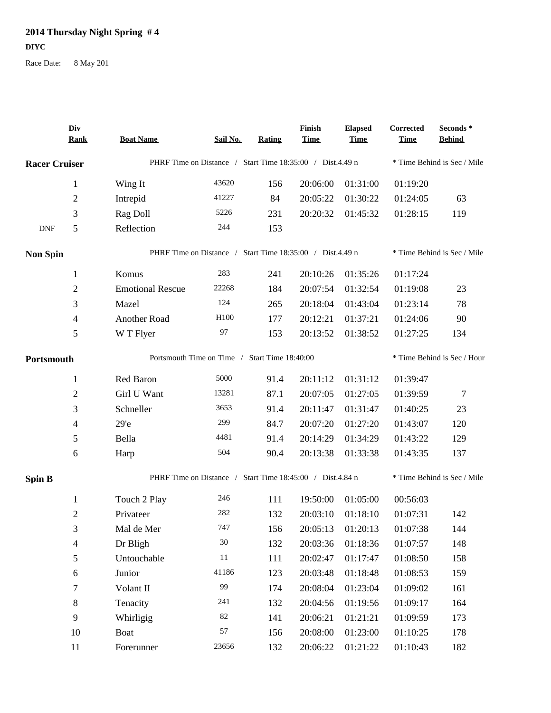## **2014 Thursday Night Spring # 4 DIYC**

Race Date: 8 May 201

|                      | Div<br><b>Rank</b>       | <b>Boat Name</b>                                          | Sail No.                                                  | <b>Rating</b> | Finish<br><b>Time</b> | <b>Elapsed</b><br><b>Time</b> | Corrected<br><b>Time</b> | Seconds*<br><b>Behind</b>   |  |
|----------------------|--------------------------|-----------------------------------------------------------|-----------------------------------------------------------|---------------|-----------------------|-------------------------------|--------------------------|-----------------------------|--|
| <b>Racer Cruiser</b> |                          |                                                           | PHRF Time on Distance / Start Time 18:35:00 / Dist.4.49 n |               |                       |                               |                          | * Time Behind is Sec / Mile |  |
|                      | $\mathbf{1}$             | Wing It                                                   | 43620                                                     | 156           | 20:06:00              | 01:31:00                      | 01:19:20                 |                             |  |
|                      | $\overline{2}$           | Intrepid                                                  | 41227                                                     | 84            | 20:05:22              | 01:30:22                      | 01:24:05                 | 63                          |  |
|                      | 3                        | Rag Doll                                                  | 5226                                                      | 231           | 20:20:32              | 01:45:32                      | 01:28:15                 | 119                         |  |
| <b>DNF</b>           | 5                        | Reflection                                                | 244                                                       | 153           |                       |                               |                          |                             |  |
| <b>Non Spin</b>      |                          |                                                           | PHRF Time on Distance / Start Time 18:35:00 / Dist.4.49 n |               |                       |                               |                          | * Time Behind is Sec / Mile |  |
|                      | $\mathbf{1}$             | Komus                                                     | 283                                                       | 241           | 20:10:26              | 01:35:26                      | 01:17:24                 |                             |  |
|                      | $\overline{2}$           | <b>Emotional Rescue</b>                                   | 22268                                                     | 184           | 20:07:54              | 01:32:54                      | 01:19:08                 | 23                          |  |
|                      | 3                        | Mazel                                                     | 124                                                       | 265           | 20:18:04              | 01:43:04                      | 01:23:14                 | 78                          |  |
|                      | $\overline{4}$           | Another Road                                              | H <sub>100</sub>                                          | 177           | 20:12:21              | 01:37:21                      | 01:24:06                 | 90                          |  |
|                      | $\mathfrak s$            | W T Flyer                                                 | 97                                                        | 153           | 20:13:52              | 01:38:52                      | 01:27:25                 | 134                         |  |
| Portsmouth           |                          | Portsmouth Time on Time / Start Time 18:40:00             |                                                           |               |                       |                               |                          | * Time Behind is Sec / Hour |  |
|                      | $\mathbf{1}$             | Red Baron                                                 | 5000                                                      | 91.4          | 20:11:12              | 01:31:12                      | 01:39:47                 |                             |  |
|                      | $\overline{c}$           | Girl U Want                                               | 13281                                                     | 87.1          | 20:07:05              | 01:27:05                      | 01:39:59                 | 7                           |  |
|                      | 3                        | Schneller                                                 | 3653                                                      | 91.4          | 20:11:47              | 01:31:47                      | 01:40:25                 | 23                          |  |
|                      | $\overline{4}$           | 29 <sup>'</sup> e                                         | 299                                                       | 84.7          | 20:07:20              | 01:27:20                      | 01:43:07                 | 120                         |  |
|                      | 5                        | Bella                                                     | 4481                                                      | 91.4          | 20:14:29              | 01:34:29                      | 01:43:22                 | 129                         |  |
|                      | 6                        | Harp                                                      | 504                                                       | 90.4          | 20:13:38              | 01:33:38                      | 01:43:35                 | 137                         |  |
| <b>Spin B</b>        |                          | PHRF Time on Distance / Start Time 18:45:00 / Dist.4.84 n |                                                           |               |                       |                               |                          | * Time Behind is Sec / Mile |  |
|                      | $\mathbf{1}$             | Touch 2 Play                                              | 246                                                       | 111           | 19:50:00              | 01:05:00                      | 00:56:03                 |                             |  |
|                      | $\overline{2}$           | Privateer                                                 | 282                                                       | 132           | 20:03:10              | 01:18:10                      | 01:07:31                 | 142                         |  |
|                      | 3                        | Mal de Mer                                                | 747                                                       | 156           | 20:05:13              | 01:20:13                      | 01:07:38                 | 144                         |  |
|                      | $\overline{\mathcal{A}}$ | Dr Bligh                                                  | $30\,$                                                    | 132           | 20:03:36              | 01:18:36                      | 01:07:57                 | 148                         |  |
|                      | $\mathfrak{S}$           | Untouchable                                               | $11\,$                                                    | 111           | 20:02:47              | 01:17:47                      | 01:08:50                 | 158                         |  |
|                      | 6                        | Junior                                                    | 41186                                                     | 123           | 20:03:48              | 01:18:48                      | 01:08:53                 | 159                         |  |
|                      | 7                        | Volant II                                                 | 99                                                        | 174           | 20:08:04              | 01:23:04                      | 01:09:02                 | 161                         |  |
|                      | $\,8\,$                  | Tenacity                                                  | 241                                                       | 132           | 20:04:56              | 01:19:56                      | 01:09:17                 | 164                         |  |
|                      | 9                        | Whirligig                                                 | 82                                                        | 141           | 20:06:21              | 01:21:21                      | 01:09:59                 | 173                         |  |
|                      | $10\,$                   | Boat                                                      | 57                                                        | 156           | 20:08:00              | 01:23:00                      | 01:10:25                 | 178                         |  |
|                      | 11                       | Forerunner                                                | 23656                                                     | 132           | 20:06:22              | 01:21:22                      | 01:10:43                 | 182                         |  |